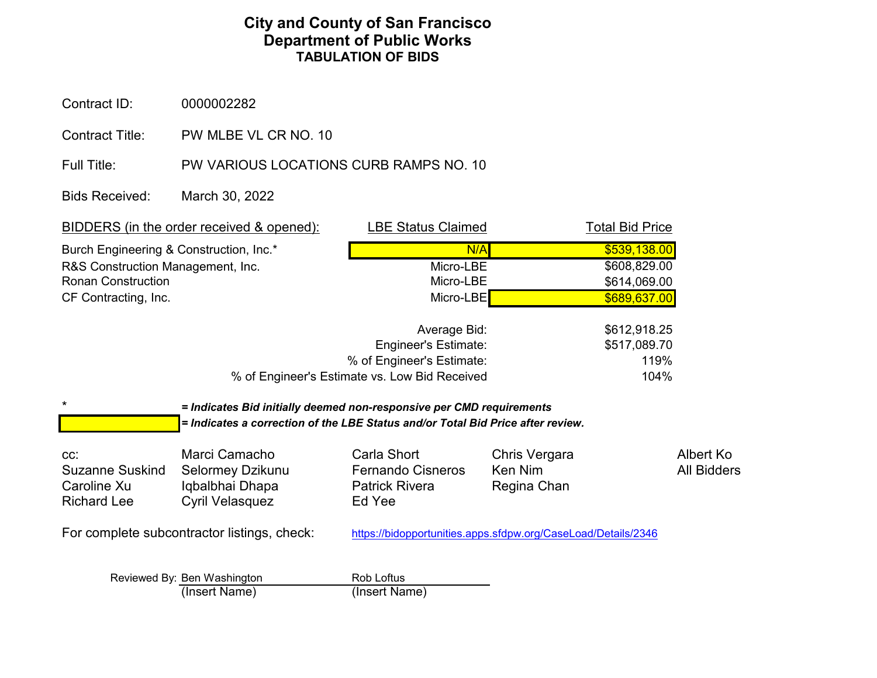## **TABULATION OF BIDS Department of Public Works City and County of San Francisco**

Contract ID: 0000002282

Contract Title: PW MLBE VL CR NO. 10

Full Title: PW VARIOUS LOCATIONS CURB RAMPS NO. 10

Bids Received: March 30, 2022

|                                             | <b>BIDDERS</b> (in the order received & opened):                                | <b>LBE Status Claimed</b>                                     |               | <b>Total Bid Price</b> |                    |  |
|---------------------------------------------|---------------------------------------------------------------------------------|---------------------------------------------------------------|---------------|------------------------|--------------------|--|
| Burch Engineering & Construction, Inc.*     |                                                                                 | N/A                                                           |               | \$539,138.00           |                    |  |
| R&S Construction Management, Inc.           |                                                                                 | Micro-LBE                                                     |               | \$608,829.00           |                    |  |
| <b>Ronan Construction</b>                   |                                                                                 | Micro-LBE                                                     |               | \$614,069.00           |                    |  |
| CF Contracting, Inc.                        |                                                                                 | Micro-LBE                                                     |               | \$689,637.00           |                    |  |
|                                             |                                                                                 | Average Bid:                                                  |               | \$612,918.25           |                    |  |
|                                             |                                                                                 | <b>Engineer's Estimate:</b>                                   |               | \$517,089.70           |                    |  |
|                                             |                                                                                 | % of Engineer's Estimate:                                     |               | 119%                   |                    |  |
|                                             |                                                                                 | % of Engineer's Estimate vs. Low Bid Received<br>104%         |               |                        |                    |  |
| $^\star$                                    | = Indicates Bid initially deemed non-responsive per CMD requirements            |                                                               |               |                        |                    |  |
|                                             | = Indicates a correction of the LBE Status and/or Total Bid Price after review. |                                                               |               |                        |                    |  |
| CC:                                         | Marci Camacho                                                                   | Carla Short                                                   | Chris Vergara |                        | Albert Ko          |  |
| <b>Suzanne Suskind</b>                      | Selormey Dzikunu                                                                | <b>Fernando Cisneros</b>                                      | Ken Nim       |                        | <b>All Bidders</b> |  |
| Caroline Xu                                 | Iqbalbhai Dhapa                                                                 | <b>Patrick Rivera</b>                                         | Regina Chan   |                        |                    |  |
| <b>Richard Lee</b>                          | <b>Cyril Velasquez</b>                                                          | Ed Yee                                                        |               |                        |                    |  |
| For complete subcontractor listings, check: |                                                                                 | https://bidopportunities.apps.sfdpw.org/CaseLoad/Details/2346 |               |                        |                    |  |
|                                             | Reviewed By: Ben Washington                                                     | Rob Loftus                                                    |               |                        |                    |  |
|                                             | (Insert Name)                                                                   | (Insert Name)                                                 |               |                        |                    |  |